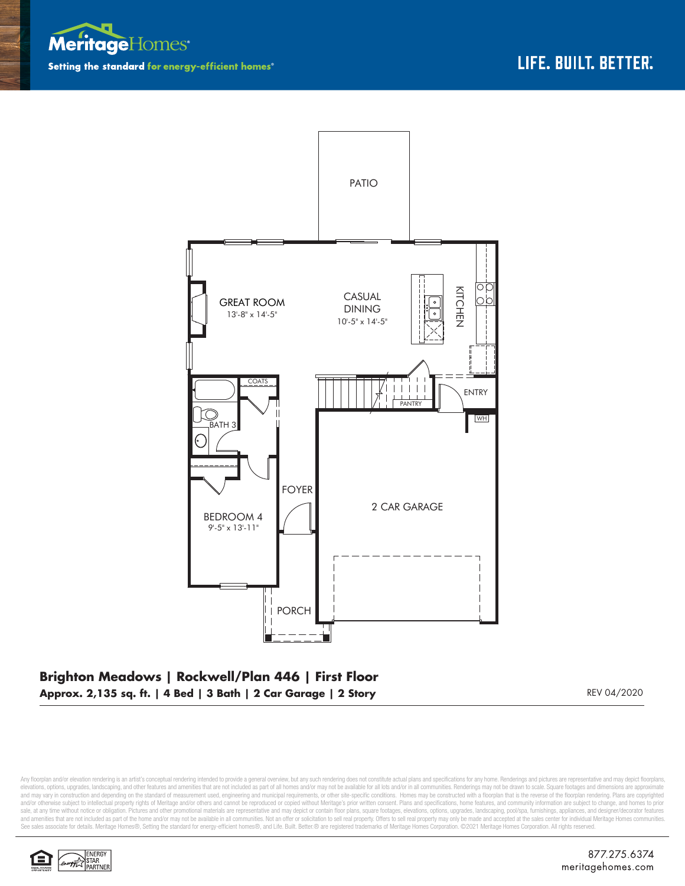



## **Brighton Meadows | Rockwell/Plan 446 | First Floor Approx. 2,135 sq. ft. | 4 Bed | 3 Bath | 2 Car Garage | 2 Story REV 04/2020** REV 04/2020

Any floorplan and/or elevation rendering is an artist's conceptual rendering intended to provide a general overview, but any such rendering does not constitute actual plans and specifications for any home. Renderings and p elevations, options, upgrades, landscaping, and other features and amenities that are not included as part of all homes and/or may not be available for all lots and/or in all communities. Renderings may not be drawn to sca and may vary in construction and depending on the standard of measurement used, engineering and municipal requirements, or other site-specific conditions. Homes may be constructed with a floorplan that is the reverse of th and/or otherwise subject to intellectual property rights of Meritage and/or others and cannot be reproduced or copied without Meritage's prior written consent. Plans and specifications, home features, and community informa sale, at any time without notice or obligation. Pictures and other promotional materials are representative and may depict or contain floor plans, square footages, elevations, options, upgrades, landscaping, pool/spa, furn See sales associate for details. Meritage Homes®, Setting the standard for energy-efficient homes®, and Life. Built. Better. @ are registered trademarks of Meritage Homes Corporation. ©2021 Meritage Homes Corporation. All